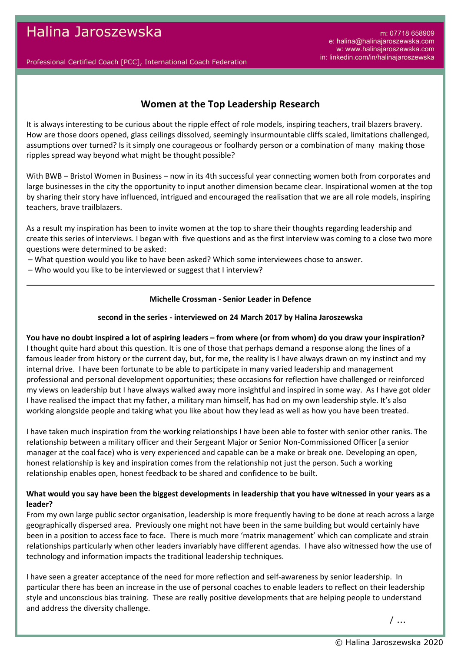m: 07718 658909 e: halina@halinajaroszewska.com w: www.halinajaroszewska.com in: linkedin.com/in/halinajaroszewska

Professional Certified Coach [PCC], International Coach Federation

# **Women at the Top Leadership Research**

It is always interesting to be curious about the ripple effect of role models, inspiring teachers, trail blazers bravery. How are those doors opened, glass ceilings dissolved, seemingly insurmountable cliffs scaled, limitations challenged, assumptions over turned? Is it simply one courageous or foolhardy person or a combination of many making those ripples spread way beyond what might be thought possible?

With BWB – Bristol Women in Business – now in its 4th successful year connecting women both from corporates and large businesses in the city the opportunity to input another dimension became clear. Inspirational women at the top by sharing their story have influenced, intrigued and encouraged the realisation that we are all role models, inspiring teachers, brave trailblazers.

As a result my inspiration has been to invite women at the top to share their thoughts regarding leadership and create this series of interviews. I began with five questions and as the first interview was coming to a close two more questions were determined to be asked:

- What question would you like to have been asked? Which some interviewees chose to answer.
- Who would you like to be interviewed or suggest that I interview?

#### **Michelle Crossman - Senior Leader in Defence**

#### **second in the series - interviewed on 24 March 2017 by Halina Jaroszewska**

**You have no doubt inspired a lot of aspiring leaders – from where (or from whom) do you draw your inspiration?** I thought quite hard about this question. It is one of those that perhaps demand a response along the lines of a famous leader from history or the current day, but, for me, the reality is I have always drawn on my instinct and my internal drive. I have been fortunate to be able to participate in many varied leadership and management professional and personal development opportunities; these occasions for reflection have challenged or reinforced my views on leadership but I have always walked away more insightful and inspired in some way. As I have got older I have realised the impact that my father, a military man himself, has had on my own leadership style. It's also working alongside people and taking what you like about how they lead as well as how you have been treated.

I have taken much inspiration from the working relationships I have been able to foster with senior other ranks. The relationship between a military officer and their Sergeant Major or Senior Non-Commissioned Officer [a senior manager at the coal face) who is very experienced and capable can be a make or break one. Developing an open, honest relationship is key and inspiration comes from the relationship not just the person. Such a working relationship enables open, honest feedback to be shared and confidence to be built.

### **What would you say have been the biggest developments in leadership that you have witnessed in your years as a leader?**

From my own large public sector organisation, leadership is more frequently having to be done at reach across a large geographically dispersed area. Previously one might not have been in the same building but would certainly have been in a position to access face to face. There is much more 'matrix management' which can complicate and strain relationships particularly when other leaders invariably have different agendas. I have also witnessed how the use of technology and information impacts the traditional leadership techniques.

I have seen a greater acceptance of the need for more reflection and self-awareness by senior leadership. In particular there has been an increase in the use of personal coaches to enable leaders to reflect on their leadership style and unconscious bias training. These are really positive developments that are helping people to understand and address the diversity challenge.

/ ...